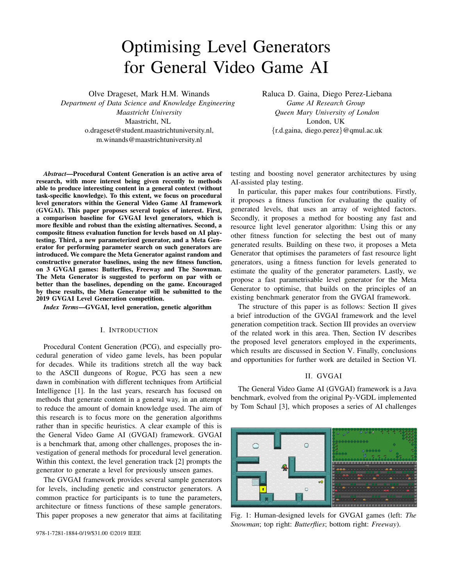# Optimising Level Generators for General Video Game AI

Olve Drageset, Mark H.M. Winands

*Department of Data Science and Knowledge Engineering Maastricht University* Maastricht, NL o.drageset@student.maastrichtuniversity.nl, m.winands@maastrichtuniversity.nl

Raluca D. Gaina, Diego Perez-Liebana *Game AI Research Group Queen Mary University of London* London, UK {r.d.gaina, diego.perez}@qmul.ac.uk

*Abstract*—Procedural Content Generation is an active area of research, with more interest being given recently to methods able to produce interesting content in a general context (without task-specific knowledge). To this extent, we focus on procedural level generators within the General Video Game AI framework (GVGAI). This paper proposes several topics of interest. First, a comparison baseline for GVGAI level generators, which is more flexible and robust than the existing alternatives. Second, a composite fitness evaluation function for levels based on AI playtesting. Third, a new parameterized generator, and a Meta Generator for performing parameter search on such generators are introduced. We compare the Meta Generator against random and constructive generator baselines, using the new fitness function, on 3 GVGAI games: Butterflies, Freeway and The Snowman. The Meta Generator is suggested to perform on par with or better than the baselines, depending on the game. Encouraged by these results, the Meta Generator will be submitted to the 2019 GVGAI Level Generation competition.

*Index Terms*—GVGAI, level generation, genetic algorithm

## I. INTRODUCTION

Procedural Content Generation (PCG), and especially procedural generation of video game levels, has been popular for decades. While its traditions stretch all the way back to the ASCII dungeons of Rogue, PCG has seen a new dawn in combination with different techniques from Artificial Intelligence [1]. In the last years, research has focused on methods that generate content in a general way, in an attempt to reduce the amount of domain knowledge used. The aim of this research is to focus more on the generation algorithms rather than in specific heuristics. A clear example of this is the General Video Game AI (GVGAI) framework. GVGAI is a benchmark that, among other challenges, proposes the investigation of general methods for procedural level generation. Within this context, the level generation track [2] prompts the generator to generate a level for previously unseen games.

The GVGAI framework provides several sample generators for levels, including genetic and constructor generators. A common practice for participants is to tune the parameters, architecture or fitness functions of these sample generators. This paper proposes a new generator that aims at facilitating testing and boosting novel generator architectures by using AI-assisted play testing.

In particular, this paper makes four contributions. Firstly, it proposes a fitness function for evaluating the quality of generated levels, that uses an array of weighted factors. Secondly, it proposes a method for boosting any fast and resource light level generator algorithm: Using this or any other fitness function for selecting the best out of many generated results. Building on these two, it proposes a Meta Generator that optimises the parameters of fast resource light generators, using a fitness function for levels generated to estimate the quality of the generator parameters. Lastly, we propose a fast parametrisable level generator for the Meta Generator to optimise, that builds on the principles of an existing benchmark generator from the GVGAI framework.

The structure of this paper is as follows: Section II gives a brief introduction of the GVGAI framework and the level generation competition track. Section III provides an overview of the related work in this area. Then, Section IV describes the proposed level generators employed in the experiments, which results are discussed in Section V. Finally, conclusions and opportunities for further work are detailed in Section VI.

#### II. GVGAI

The General Video Game AI (GVGAI) framework is a Java benchmark, evolved from the original Py-VGDL implemented by Tom Schaul [3], which proposes a series of AI challenges



Fig. 1: Human-designed levels for GVGAI games (left: *The Snowman*; top right: *Butterflies*; bottom right: *Freeway*).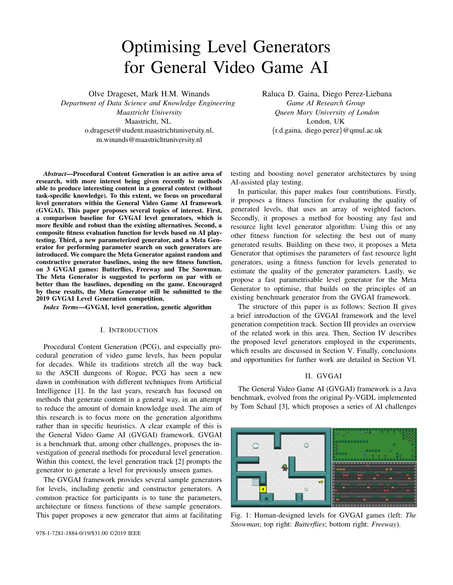| Www.www.www.ww                          | $\mathbf{1}$ | www.www.www.www.www.www.www.ww                                                                                                                                                                                                                                                                          |
|-----------------------------------------|--------------|---------------------------------------------------------------------------------------------------------------------------------------------------------------------------------------------------------------------------------------------------------------------------------------------------------|
|                                         |              | $2 \le m, \ldots, m, \ldots, w$ $2 \le m, 1, \ldots, 1, w, \ldots, 0, 0, 0, 0, w$ 000 w                                                                                                                                                                                                                 |
| $3 \le m \le b \le W \ldots c \ldots w$ |              | $3 \text{ w}.1 \ldots \ldots \ldots \ldots \ldots \ldots \text{ w000w}$                                                                                                                                                                                                                                 |
|                                         |              | $4 \le m$ , , , $w \le 4 \le n$ , , 0, , A, , , w000 $w$                                                                                                                                                                                                                                                |
|                                         |              |                                                                                                                                                                                                                                                                                                         |
|                                         |              |                                                                                                                                                                                                                                                                                                         |
|                                         |              | 7 www.www.example.org/ $\frac{7}{2}$ w0.example.org/ $\frac{1}{2}$                                                                                                                                                                                                                                      |
|                                         |              | $8 \le x \le y$ $\le y$ $\le y$ $\le y$ $\le y$ $\le y$ $\le y$ $\le y$ $\le y$ $\le y$ $\le y$ $\le y$ $\le y$ $\le y$ $\le y$ $\le y$ $\le y$ $\le y$ $\le y$ $\le y$ $\le y$ $\le y$ $\le y$ $\le y$ $\le y$ $\le y$ $\le y$ $\le y$ $\le y$ $\le y$ $\le y$ $\le y$ $\le y$ $\le y$ $\le y$ $\le y$ |
|                                         |              | $\mathbb{R}$ w $1, \ldots, h, w$ www.                                                                                                                                                                                                                                                                   |
|                                         |              | $10 \text{ w} \dots \text{w} \text{w} \dots \text{w} \dots \text{w} 10 \text{ w} \dots \dots 0 0 0 0 0 0 0 0 \dots \text{w} 0 \dots 0 \text{w}$                                                                                                                                                         |
|                                         |              |                                                                                                                                                                                                                                                                                                         |

Fig. 2: VGDL levels: *The Snowman* (left), *Butterflies* (right).

around the concept of general game AI. In particular, GVGAI offers a platform for learning, planning and content generation problems in games described in the Video Game Description Language. Each one of the problems have been proposed to the community in the form of competitions [4], [5] and the framework is widely used for research and education [6].

## *A. Games*

The GVGAI framework counts, at the time of writing, more than 180 single and two-player games, with 5 levels each. The games are written in the Video Game Description Language (VGDL), which allows games to be easily created around sprites with certain properties and behaviours and their interactions. These elements are described in VGDL using two files (game and level definition). The game description file is composed of four different *sets*. The *Sprite Set* defines properties for the different entities in the game. The *Interaction Set* describes the effects produced by sprite collisions, such as destroying sprites or causing score changes. The *Termination Set* defines the conditions that lead to an end-game state, determining also if the game is won or lost for the player(s). Finally, the *Level Mapping* specifies the connections between sprites and ascii characters used in the level definition file.

Levels are described in their own ascii files. Each character in a file is mapped to one or more sprites as indicated in the *Level Mapping*. Figure 2 shows examples of VGDL levels representing their initial states. Figure 1 shows the 3 different GVGAI games used in this study. Their variety also shows the complexity and expressiveness that achievable with VGDL:

*The Snowman:* This is a deterministic game in which the player must push different parts of a snowman (body, trunk and head) into a platform, in the natural body to head order. Parts of the level may be locked that can only be opened if the player collects a key. Points are awarded for correctly placing each part of the snowman.

*Butterflies:* This is a stochastic game in which the player must capture as many butterflies as possible before all cocoons in the level are opened, in which case the game is lost (cocoons open on contact with butterflies to create new butterflies). When all butterflies are captured, the game is over and won. All butterflies move at random. Points are awarded for each butterfly captured.

*Freeway:* A version of the original with the same name, this stochastic game puts the player in control of an agent that must cross consecutive roads with incoming traffic. Every time the player gets hit by a vehicle, they lose 1 life (out of 5 available). The player wins if they are able to reach the randomly positioned goal at the other end of the crossings. In contrast to the others, this game has no score, only a victory condition.

# *B. Game-Playing Agents*

The framework exposes an API for planning agents, which includes access to a forward model (FM). This forward model can be used to simulate possible future states of the game when supplied with an action to execute from any state. In the competition setting, each agent has a certain established time to return an action before being disqualified.

GVGAI includes a series of sample controllers to help practitioners in the creation of agents for the benchmarks. Among these controllers, one can find simple ones, like RANDOM (which executes random actions at each time step), DONOTHING, where action NIL (or no-op) is applied at each step, and One Step Lookahead (OSLA). The latter sample controller explores every game state reachable from the current state using the FM, evaluating it with a heuristic that promotes proximity to certain sprites. In this study, DONOTHING and OSLA are 2 of the 3 agents used to evaluate generated levels.

The third controller is YOLOBOT, which is not provided with the framework. Instead, YOLOBOT was a (multiple) competition winner submission developed by Joppen *et al*. [7]. This approach is a combination of two different methods: a heuristic-guided Best First Search used in deterministic games, and a Monte Carlo Tree Search (MCTS; [8]) used for stochastic environments. Used in conjunction with informed priors and rollouts, backtracking and pruning, this agent was able to win three editions of the Single-Player Planning GVGAI competition. The reader is referred to [7] for details.

# *C. GVGAI Level Generation*

The Level Generation track was introduced in 2016 with the objective of proposing a challenge for automatic generation of levels for any game that is given [2]. Participants submit generators that must produce a level for games (unknown a priori) in no more than 5 hours of CPU computation. During this time, the generator can make use of planning agents to play-test potential levels to be returned.

Generators have access to the following game information:

- Avatar sprites, controlled by the player.
- Solid sprites, static in the game.
- Harmful sprites, which kill the player (or can create sprites that would kill the player).
- Collectible sprites, which can be picked up by the player. Other sprites that do not fall in the previous categories.

Additionally, the generator is provided with access to the level mapping, the interaction and termination sets. In return, the generator must provide a 2-dimensional array of characters that forms the level, in the same format as those shown in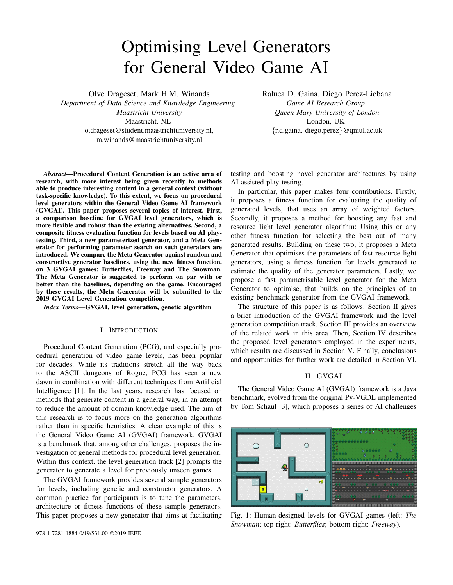Figure 2. The GVGAI Level Generation track was initially proposed in tandem with three distinct level generators [2]:

RANDOM: This generator picks a level size by looking at how many sprite types exist. After surrounding the board in a solid frame, it places at least one of each sprite type on the board. It makes sure to keep around 80% of the space open. If there is additional space left over after these initial constraints are met, the remaining space is filled randomly from the set of sprites. This approach has the advantage that, without looking into the semantics of the sprites, all sprites that are vital for completing the level (goal sprites) are likely to be included in the level. It's also likely that the avatar has space to move.

CONSTRUCTIVE: This generator uses the same level size selection, and includes a frame of static sprites. It also builds connected walls coming out of the frame, while making sure that all open space on the board is connected. This makes for more interesting and deliberate-looking levels for games that rely on labyrinth- and room-like structure. The constructive generator places enemies at a distance from the avatar, to make sure the player doesn't die immediately after spawning. It does not, however, guarantee that all sprites will be used at least once.

GENETIC: This generator initializes a population of levels using the constructive or random generator, before performing evolution using a fitness function. It keeps one population for infeasible levels, and one for feasible levels, that do not mix. The fitness evaluation function is based on two factors, which will be compared to our own proposed fitness function in the methods section.

# III. RELATED WORK

Previous entries to the GVGAI Level Generation competition [2] have not been very effective at creating interesting or even playable levels [6]. However, some approaches do succeed in producing quality results. Neufeld et al. [9] use  $a$  (  $+$  ) evolutionary algorithm to evolve the rules used by an Answer Set Programming (ASP) level generator in GVGAI. These levels are then evaluated using a simulationbased method: the fitness of each level is the difference of average scores obtained by vanilla Monte Carlo Tree Search and a random player. Their results showcase the benefits of the concept, although we identify the computational overhead of translating VGDL games into ASP rules as a drawback, especially in the context of the GVGAI competition. This paper uses a similar approach, compatible with the GVGAI competition and applied to a parameterized random generator.

Four out of six submissions to the GVGAI Level Generation competition are based on evolutionary algorithms, using AI simulations for evaluating generated levels [6], although they have not yet been successful in winning the competition. Given previous promising approaches [9], we focus on improving simulation-based evolutionary methods for this task.

A different approach used in the Level Generation competition is using design patterns within various techniques. Sharif et al. [10] analyse the games in GVGAI to identify interesting design patterns, such as solid sprites often forming rooms (almost fully enclosing a section of a level) or collectible sprites often being placed together. Beaupre et al. [11] later use such design pattern analysis to develop general generators which produce levels inspired by the human designs. They use the sample constructive generator provided with the GVGAI framework to generate an initial population of levels, which are evaluated based on the patterns they contain. This population is then evolved to match the pattern weights extracted from the existing GVGAI corpus of games. A final human evaluation of the resultant level shows preference towards the pattern-based levels. However, there is no indication as to the level quality in terms of playablity. We choose to focus on simulation-based evaluations to take into consideration the impact on player game-play, but we consider design patterns additions as a path for further extending the current work.

Several authors explore the use of Relative Algorithm Performance Profiles (RAPP) [12] to evaluate generated games or levels: the difference in performance between proficient and less skilled players is often seen as an indicator of a game's skill depth, with higher skill depth being a desired quality of generated game content. Nielsen et al. [12] compare the relative performance of seven different agents on a set of VGDL games and their results support the correlation between higher-quality games and a larger difference between good and less-skilled players. More recently, Liu et al. [13] use a similar measure to evolve game parameters instead, with similarly good results. Inspired by positive results, we use this same notion in the fitness function and measure the difference in win rate and score between YOLOBOT [7], a high-performing bot in the GVGAI planning competition, and two simple agents, One-Step Look Ahead (OSLA) and DO NOTHING. See Section II-B for details of agents used in this work.

One of the aspects we consider in this paper is the importance of using the right parameters for the generator. Manuel et al. [14] evolve level generators for Super Mario Bros interactively, with human supervision. They use both a measure of the playablity of generated levels (using simulation-based evaluation) as well as the human preference input in order to evolve better levels. We take a similar approach, while excluding the human factor in order for our method to be compatible with the GVGAI competition and entirely autonomous, while also testing our Meta Generator's performance on several games. While most generator optimizers use fairly simple evolutionary algorithms, Lucas et al. [15] propose a model-based approach for tuning game parameters. Both GVGAI games and agents can be stochastic, which introduces considerable noise in the evaluation. Additionally, simulation-based evaluations are expensive, as (potentially multiple) games have to be run in order to test the quality of the generated solutions. The N-Tuple Bandit Evolutionary Algorithm (NTBEA) is shown to perform well in noisy environments as well as being sample efficient [16], which could lead to better results within the short timespan allowed in the GVGAI competition. NTBEA has further been shown to produce good results when optimising player experience (represented by score curves) in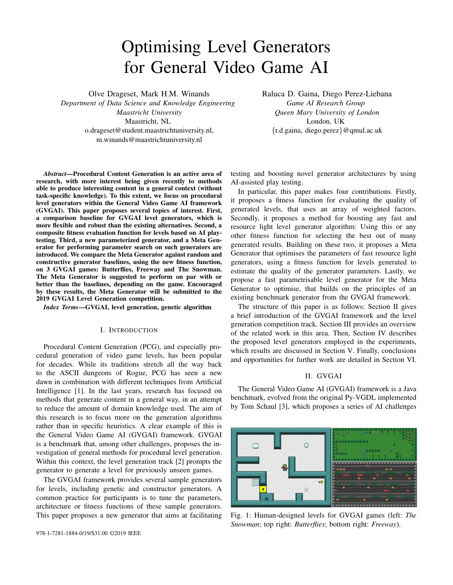GVGAI games [17], thus we consider this as the next step for improving our method further.

# IV. LEVEL GENERATORS

This section describes the methods used in our experiments, and details our contributions: The POPULATION GENERATOR, the parameterized PERCENTAGE-WISE GENERATOR (PWG), the META GENERATOR, and the fitness evaluation function.

#### *A. Population Generator Baselines*

One of the problems when building level generators for the GVGAI Level Generation competition is that after the generator is built and the fitness evaluation function is designed, there is no good baseline measure to compare the generator's output quality with. Out of the baseline generators given by the competition organizers, while the GA relies on a fitness function and validates the playability of all levels before returning them, the random and constructive generators produce a single level without playtesting or validating it. From this point on we will refer to the latter approach as one-shot generation. Our hypothesis is that, even without performing any genetic operations, testing and validating levels is a large part of the performance difference between the genetic algorithm and the one-shot generators. This motivated us to build a framework around continuous one-shot generators (called the Population Generator), as well as a fitness function for noisy evaluation of generated levels. This turns a one-shot generator into a continuously improving generator that can keep generating and testing levels for any amount of time. When time runs out, it returns the best level in the population, according to the fitness function.Fitness values are normalized across the entire population of levels generated for a game.

## *B. Percentage-Wise Generator*

The Percentage-Wise Generator (PWG) is the base generator used in our experiments. The PWG was designed with a desire to minimize the assumptions we make about the game we are generating levels for, and to increase generality by minimizing the reliance on human-injected bias. The sample constructive generator in the GVGAI Level Generation competition is a counter example. Because of these considerations, the PWG is based loosely on the random level generator. The biggest difference is that it is parameterised, taking into account the following when generating levels:

Percentage of each sprite that should be used.

Whether the  $(x, y)$  coordinates of each sprite should be sampled from a Gaussian distribution.

Mean of the distribution.

Standard deviation of the distribution.

Size of the level and whether a border of static wall should be placed around the level.

Details of the parameter search space are depicted in Table I (float parameters are continuous, bounded between 0 and 1). The Mean and St.dev parameters are scaled by the Width and Height parameters. The PWG only uses information about three types of sprites: the avatar, walls, and open space. In

TABLE I: Generator parameter search space

| Parameter                          | Type    | Search space |
|------------------------------------|---------|--------------|
| Sprite usage <sub>n</sub>          | Float   | [0,1]        |
| x-Gaussian sampling <sub>n</sub>   | Boolean | true, false  |
| y-Gaussian sampling $n$            | Boolean | true, false  |
| x-Distribution mean $_n$           | Float   | [0,1]        |
| y-Distribution mean $_n$           | Float   | [0,1]        |
| x-Distribution st.dev <sub>n</sub> | Float   | [0,1]        |
| y-Distribution st.dev $_n$         | Float   | [0,1]        |
| Level border                       | Boolean | true, false  |
| Width                              | Integer | [4, 18]      |
| Height                             | Integer | [4, 18]      |

terms of injected bias, the PWG knows that exactly one avatar must exist, that a frame of static walls is an option (enabling the frame is a boolean parameter), and that having more than half of the area of the level being covered by open space is a good place to start the optimisation process. It is not, however, told anything about the purpose or function of any of these sprites or their interactions. The GVGAI Level Generation competition explicitly gives access to this knowledge, and several other generators use it. We chose to avoid using it in order to make our method as general and requiring as little information as possible.

## *C. Meta Generator*

The Meta Generator relies on optimising the parameters of other level generators (in our case, the PWG). The fitness evaluation of the sub-generators involves generating and evaluating levels using the fitness function described in Section IV-D. By addressing the generator optimisation task, the level generation task is implicitly addressed as well.

*1) Motivation:* The level search space for GVGAI games is large, and current methods for simulation-based level fitness evaluation are relatively expensive. Thus we hypothesize that genetic level generators rely on having a good population initialization in order to find a "good" (according to a fitness function) solution within the allocated time. It would therefore be optimal to have a much faster generator that delivers many good levels, before using a genetic algorithm to improve upon them to find one high-quality level. Having a generator that can quickly and consistently make levels that are even close to being good for any never-seen-before games is difficult.

The idea behind the Meta Generator is to optimise the parameters of a fast generator. The best levels generated during the search can be used as the initialization set for genetic search in the level space, or the best level found so far can be returned directly. Additionally, this system can be used to supply a player with a continuous stream of levels, by running the optimized Meta Generator in the background during play.

*2) Generator Population and Level Population:* When optimising the parameters for the PWG, we maintain a population of generator parameters. This population keeps track of which generators produced what levels, so that we can calculate the fitness of each generator as the average fitness of the levels it has produced. A combined population of all the levels generated and evaluated so far by the Meta Generator is also maintained. Just like for the Population Generators, the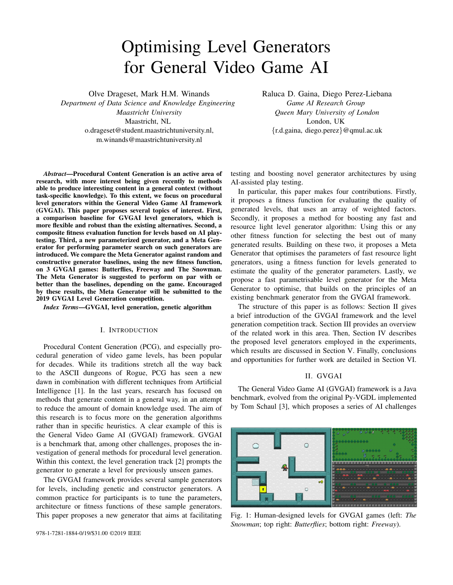information from all the levels generated is used to calculate the fitness of each individual level, normalized across the population of levels generated for a game.

*3) Parameter Optimisation Algorithm:* The Meta Generator uses mutation and crossover to search the parameter space of the PWG. It uses Upper Confidence Bounds (UCB; [18]) to select in which direction to guide its search. The UCB formula is depicted in Equation 1, split into 2 terms for exploitation (first) and exploration (second).  $V_i$  is the value estimation of the generator i. This value is the average fitness of the levels generated so far, and the assumption is that it translates to the generator being a good candidate for crossover and mutation. generator being a good candidate for crossover and mutation.<br>C is the exploration parameter, which is set to  $\sqrt{2}$ . N is how many levels have been generated in total, and  $n_i$  is how many levels have been generated by the generator.

$$
UCB = V_i + C \sqrt{\frac{\ln N}{n_i}} \tag{1}
$$

The UCB value balances exploration of areas that have not been explored and the exploitation of areas that are promising. As outlined in Algorithm 1, the Meta Generator focuses its search on the generator with the highest UCB value, using a (1, ) roulette wheel (fitness proportionate) selection strategy. This means the generator with the highest UCB value is picked, and other generators are selected and crossed with the top generator. Each time a generator is selected for reproduction, one more level is generated using its parameters before continuing. This encourages the noisy fitness evaluation of the more promising generator parameters to become more accurate, which means we avoid repeatedly using parameters for crossover that are objectively unfit, but inaccurately evaluated. In the case where all results of crossovers and mutations are worse than the previous population, forcing the existing generators to keep producing levels further ensures that we keep exploiting our current best generators.

## *D. Noisy Level Fitness Evaluation*

The fitness evaluation function for levels is a compound measure of 8 factors, that are calculated from the data of several General Video Game AI agents playing the level (see Section II-B for details of agents used).

 $f_1$  WIN FACTOR: This factor measures how much better YOLOBOT performs than OSLA and DO NOTHING, in terms of win percentage (every game in GVGAI can be won or lost).

 $f_2$  SCORE FACTOR: This factor measures how much better YOLOBOT performs than OSLA and DO NOTHING in terms of game score. Looking at the difference between the performance of agents with various skill levels as an indicator of game skill depth has been tried before in adversarial games [13] and single player games [12].

 $f_3$  DANGER FACTOR: This factor measures how close the AI is to death on average throughout the game. The danger score at a given frame is calculated by doing  $m$  random roll-outs of length  $n$ , and seeing how many of them end up in death. The DANGER FACTOR is Algorithm 1 Meta Generator pseudo code. It optimizes level generator parameters, returns the level with the highest fitness.

*Input:* Parameterised one-shot generator q *Input:* Fitness function f *Input:* Time budget t *Output:* A GVGAI Level.

- 1:  $gPop \leftarrow initializePopulation(g)$
- 2:  $IPop \leftarrow Empty$
- 3: while time  $\langle t \rangle$  to
- 4: generator  $\leftarrow$  gP op: maxUCB()
- 5: level  $\leftarrow$  generator: generate Level()
- 6:  $fitness \leftarrow f(level)$
- 7: lP op:add(level; f itness)
- 8: gP op:update(g; level)
- 9: parents  $\leftarrow$  rouletteSelect(; gPop)
- 10: of f spring  $\leftarrow$  crossover(g; parents)
- 11: offspring:mutate()
- 12: for child in offspring do
- 13: levels  $\leftarrow$  child:generate(n)
- 14:  $fitness \leftarrow f(levels)$
- 15: lP op:add(levels; f itnesses)
- 16: gP op:add(child; levels)
- 17: **end for**
- 18: end while
- 19:  $level \leftarrow IP$  op:best()
- 20: return level

the average danger score for the round. While game AI evaluations have been used before to estimate the difficulty of games [19], danger should not be confused with difficulty. An agent can have a 100% win rate, and still experience a high sense of danger throughout the game. Conversely, it can also experience no danger at all, up until the point at which it loses the game.

 $f_4$  DANGER RATE FACTOR: This factor measures the presence of danger rather than the degree of it. It returns the percentage of time the AI is within reach of death, i.e. any one of the danger-measuring roll-outs at a game tick ends in death.

 $f<sub>5</sub>$  INTERACTION FACTOR: This factor measures how many interactions take place between the avatar, its spawned attacks (missiles, sword strikes), and the other sprites in the level. The assumption is that having more interactions is more interesting.

 $f<sub>6</sub>$  UNIQUE INTERACTION FACTOR: It measures how many unique types of interactions the avatar and its spawned attacks have with the environment. The assumption is that a player is more stimulated by a level that encourages more of these interaction types to take place.  $f_7$  LENGTH FACTOR: If a level is solvable, it is desirable that the solution takes longer. The assumption is that a longer solution is less likely to feel trivial to the player.  $f_8$  SOLVABILITY FACTOR: It indicates if any of the three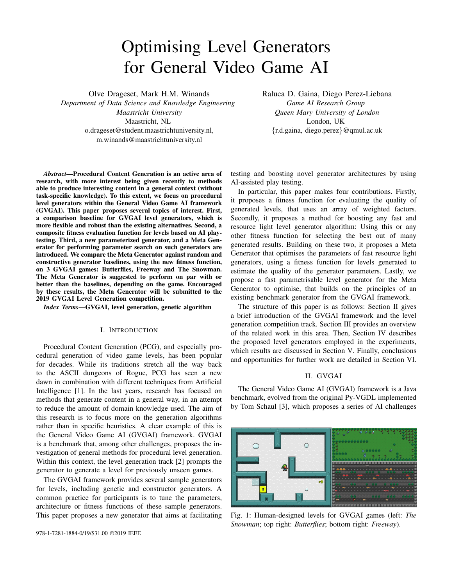AI agents could solve the level in any of their attempts.

All factors (except  $f_8$ ) are measured over a number of simulations, and because the agent and the games are stochastic, results may vary. The total fitness score of a level is calculated according to Equation 2 (solvability is excluded), where  $W<sub>n</sub>$ is the weight of the  $n$ -th factor. Each individual factor is normalized in the range [0,1], according to all other observed values for that factor for the same game. The weights should preferably be adjusted in accordance with human preference, but, for the lack of such data, they were set, from  $W_1$  to  $W_7$ , as follows: (3,2,2,1,1,1,1).

$$
f_L = \frac{\sum_{n=1}^{7} f_n * w_n}{\sum_{n=1}^{7} w_n}
$$
 (2)

This puts fitness in the range [0; 1]. If the level is unsolvable, the fitness becomes  $f_L - 1$ , putting it in the range  $[-1, 0]$ . This is done to reflect that any solvable level is better than an unsolvable level: the player should be able to win.

## V. EXPERIMENTS

The goal of the experiments is to compare the performance of the random and constructive generators against the Meta Generator proposed in this paper, when provided with a 5 hour budget as in the GVGAI Level Generation competition. Each of these 3 generators was set to generate levels for 3 Eh is repeated 5 times. The experiments were performed on IBM System X iDataPlex dx360 M3 Server nodes, where each had one Intel Xeon E5645 processor core allocated to it, and a maximum of 2GB of RAM of JVM Heap Memory.

# *A. Results*

Figure 3 shows the average fitness (over 5 runs) of the best level generated so far (the one that would be returned at that point), by each of the generators. The difference between the performance of the three generators depends on the game.

*1) Butterflies: Butterflies* is a simple game in which a random spread of sprites can lead to a level that is challenging and plays well. It therefore makes sense that the Meta Generator only makes marginal gains on the baselines. When we analyse the levels generated by each of the generators, it becomes apparent that the small difference in fitness actually accounts for the fact that the Meta Generator is able to build levels of much larger size. The random and constructive generators restrict the size of their levels because of the small number of sprite types. A larger level makes for longer games, and due to the Length Factor  $(f_7)$  this adds to the fitness on solvable levels. We see the larger levels produced by the Meta Generator as more enjoyable for humans than the very compact ones produced by the baselines.

*2) Freeway: Freeway* is a more complicated game. In addition to also being stochastic, it has many more sprite types. In addition to this, traditional *Freeway* levels are all structured in a specific way: the car spawners are located in key places in order for the game to be recognizable and make sense to humans. While random scattering of sprites works well for



Fig. 3: The average fitness of the best level of each generator over the course of 5 hours of continuous generation. From top to bottom: *Butterflies*, *Freeway* and *The Snowman*. Colored area indicates standard deviations.

*Butterflies*, it does not for *Freeway*. The constructive generator uses and builds in a specific way that is good for dungeonstyle maps, but it is not effective in *Freeway* as we can see in Figure  $3$   $\theta$ ). From the lower middle fitness distribution in Figure 5 we can see that the constructive generator produces a considerable amount of low fitness (but playable) levels, as well as some levels on par with the other generators. Interestingly, when inspecting the final generation of *Freeway* levels, the constructive generator is the only one that managed to construct a level that is somewhat sensible (more on this later). The Meta Generator and its PWGs have no way of biasing the levels produced to have patterned structure and spacing the sprites in a certain way, which is what we imagine is most beneficial for *Freeway*.

*3) The Snowman: The Snowman* is the only puzzle game out of the three. It is also the game where the largest difference in fitness is observed. The Meta Generator outperforms the constructive and random generators, who do not generate any levels that are solvable by YOLOBOT. While the Meta Generator starts out poorly as well, it explores different generator parameter until it finds a playable level, and starts using the parameters of the successful PWG as a basis for further exploration. As can be observed in the right-most row of histograms in Figure 5, this leads to not only one or two playable levels, but a sizable population of playable levels. Upon further inspection, it turns out that the levels generated by the constructive and random generators are actually fairly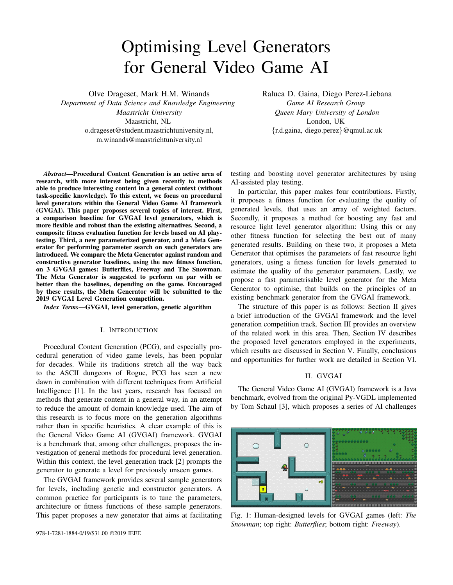simple to solve for humans, but they are consistently too large and too cluttered for YOLOBOT to solve. The Meta Generator is the only one out of the three that manages to create smaller, relatively uncluttered levels that YOLOBOT can solve, because it is free to change the size of the level and cover percentage of all the sprite types.

*4) Summing up:* The constructive generator brings a stronger bias into its levels, and that seems to disadvantage it slightly going up against the less biased random and Meta generators. The random generator also has a strong bias in size and cover percentages that disadvantages it in a situation like this, where there is an opportunity to sample a large amount of different combinations and test their fruitfulness. The Meta Generator achieves a similar performance to random, although outperforming both baselines in *The Snowman*.

## *B. Generated Levels*

Observe in Figure 4 examples of levels returned at the end of 5 hours of generation, by each of the generators. For *Butterflies*, we can see how the size restrictions imposed by the random and constructive generators limit them from discovering the benefit of a larger level. For *Freeway*, we can see that the basic idea of the game is completely deconstructed, as the floor tiles where the goal and player can spawn (light grey) are spread out completely, and are dangerously placed. In *Freeway* levels, YOLOBOT is superhuman at avoiding fast moving danger, so implementing a more human-like behaviour with longer reaction time similar to [2] might help bias the levels to be less hectic. The constructive generator (right) surprised by creating one level where 3 out of 4 spawn points are safe from traffic, but this is purely by chance. While the levels generated by the Meta generator on the two other games differ visually from the Population Generators, the similarity between the Random and Meta on Freeway is striking. For *The Snowman*, we observed that levels returned by the random and constructive generators were generally cluttered and large. The size is determined by the sprite set, and the percentage of the board that is to be filled with sprites is not variable. The Meta Generator tended to return sparser and smaller levels.

#### VI. CONCLUSIONS AND FUTURE WORK

In this paper we describe a fitness evaluation function based on several factors, which is used by 3 different generators to evaluate the quality of generated levels in the General Video Game AI framework (GVGAI): random, constructive and our proposed Meta Generator. The Meta Generator builds upon a parameterized version of the random generator and evolves its parameters in order to produce better levels. The random and constructive generators are tested in continuous runs over 5 hours (as per the GVGAI Level Generation competition rules) in 3 GVGAI games, *Butterflies*, *Freeway* and *The Snowman* and are shown to perform similarly or worse than the Meta Generator (using the same budget), depending on the game.

The constructive generator brings a strong bias into its levels, which seems to disadvantage it going up against the Random and Meta generators. The Meta Generator gains in



Fig. 4: A sample of the best levels returned at the end of 5 hours. From top to bottom: *Butterflies*, *Freeway* and *The Snowman*. From left to right: Meta, Random, Constructive.

fitness over both the Population Generators from its extra flexibility, and this flexibility seems to have a larger impact in games that are more difficult to produce levels for.

The next experiment lined up is to compare the performance of the Meta Generator against a strong genetic level generator, such as the original GVGAI genetic baseline [2], using comparable one-shot generators for population initialization. This Meta Generator will be entered into the 2019 GVGAI Level Generation competition, where it can be tested rigorously against other generators. A detailed comparison with previous competition entries is also considered for future work.

The parameter optimisation performed by the Meta Generator could be further improved. A more powerful method such as The N-Tuple Bandit Algorithm (NTBEA) [15] [20] could be used, which has been shown to work well for online parameter tuning [21]. One line of work would be using a population of NTBEAs larger than the thread pool. After a thread completes a step on one NTBEA instance, the thread picks which Meta Generator instance to work on next by using UCB to select from those available.

The weighting of the factors in the current fitness function could also be adjusted so that the fitness score aligns better with human experience. Browne and Maire [22] focused on human experience in their approach, which contributed to the creation of the award-winning board game Yavalath. It can be applied similarly to the evaluation of video game levels, by extracting features of human play together with their explicit preference indications for a level.